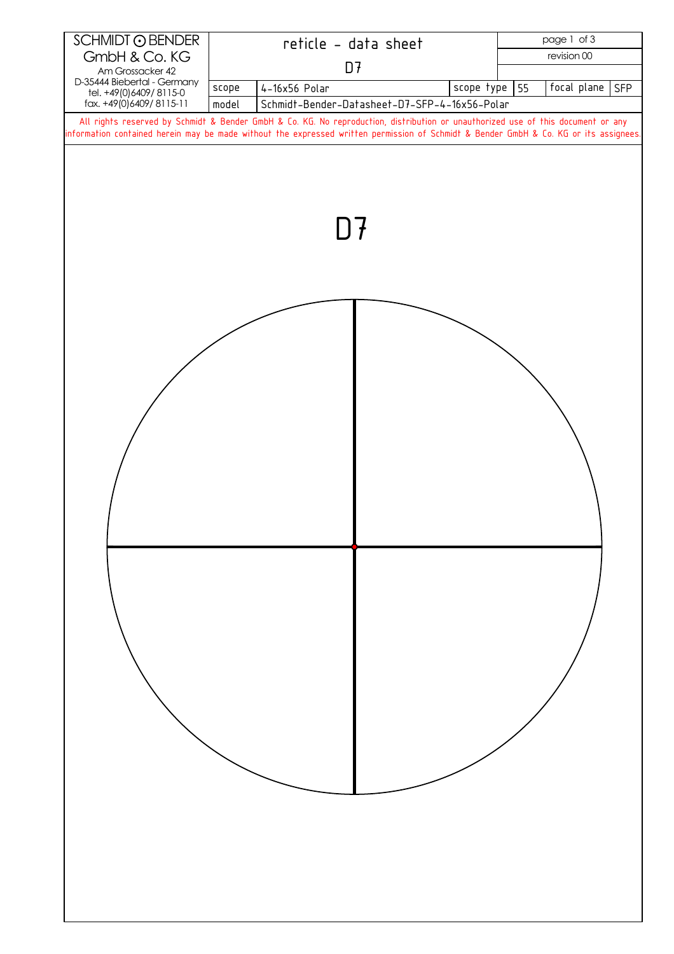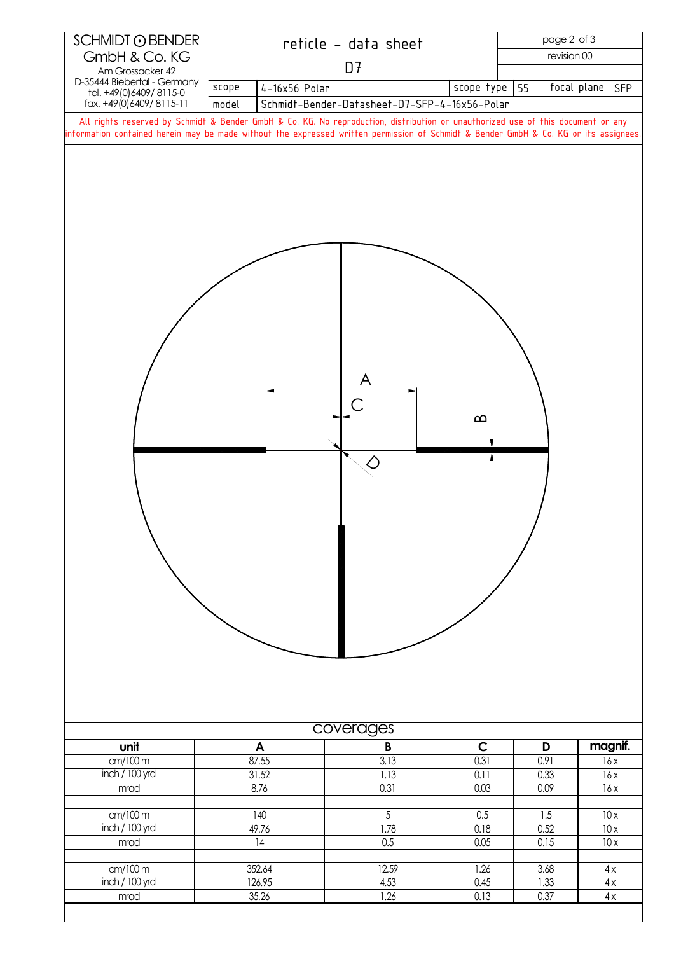